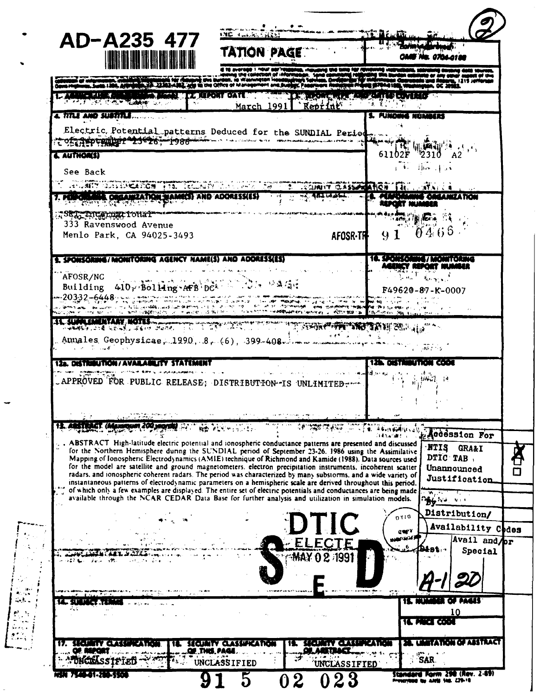| AD-A235 477                                                                                                                                                                                                                                                                                                                                      | TATION PAGE                                                                                                   |                                                  |                                                                                                                |
|--------------------------------------------------------------------------------------------------------------------------------------------------------------------------------------------------------------------------------------------------------------------------------------------------------------------------------------------------|---------------------------------------------------------------------------------------------------------------|--------------------------------------------------|----------------------------------------------------------------------------------------------------------------|
|                                                                                                                                                                                                                                                                                                                                                  | and to the Office of Manage                                                                                   |                                                  |                                                                                                                |
| <b>AND A REAL PROPERTY OF A STATE OF A STATE OF A STATE OF A STATE OF A STATE OF A STATE OF A STATE OF A STATE OF</b><br><b>APT TAT IT ALT TEACHER WAS ARRESTED</b>                                                                                                                                                                              | <b>FIRE REPORT DATE AND THE RESERVANCE PARTICIPATION</b><br>March 1991 Reprint                                |                                                  |                                                                                                                |
| 4. TITLE AND SUBTITLE                                                                                                                                                                                                                                                                                                                            |                                                                                                               | s. Plinding numeres                              |                                                                                                                |
| Electric Potential patterns Deduced for the SUNDIAL Period<br><b>TO CAPPE MINER 20020 - 1988 - 10 A COLOR AND MORE DUMINI LEELO</b>                                                                                                                                                                                                              |                                                                                                               |                                                  |                                                                                                                |
| <b>&amp; AUTHOR(S)</b>                                                                                                                                                                                                                                                                                                                           |                                                                                                               | $61102F$ 2310                                    |                                                                                                                |
| See Back                                                                                                                                                                                                                                                                                                                                         |                                                                                                               | لحرار مطلب في                                    |                                                                                                                |
| <b>AND ANY CONSTRUCTION THE TECHNIC TO A THAT THE TRIME CONSTRUCT THE LATING CA</b>                                                                                                                                                                                                                                                              | $\frac{1}{2}$ , $\frac{1}{2}$ , $\frac{1}{2}$ , $\frac{1}{2}$ , $\frac{1}{2}$ , $\frac{1}{2}$ , $\frac{1}{2}$ | - FL -MIKE                                       |                                                                                                                |
| 7. PERPORTER ORGANIZATION MAME(S) AND ADORESSES<br>REG International                                                                                                                                                                                                                                                                             |                                                                                                               |                                                  |                                                                                                                |
| 333 Ravenswood Avenue                                                                                                                                                                                                                                                                                                                            |                                                                                                               | <b>THE STATE</b><br>AFOSR-TH 91                  | 0465                                                                                                           |
| Menlo Park, CA 94025-3493                                                                                                                                                                                                                                                                                                                        |                                                                                                               |                                                  |                                                                                                                |
| <u>E. SPONSORING/NIONITORING AGENCY NAME(S) AND ADDRESSES)</u>                                                                                                                                                                                                                                                                                   |                                                                                                               | 10. SPONSORING/MONITORING                        |                                                                                                                |
| AFOSR/NC<br>Building $410$ , Bolling AFB $60$ . We said                                                                                                                                                                                                                                                                                          |                                                                                                               | ACENCY REPORT NUMBER<br>$F49620 - 87 - K - 0007$ |                                                                                                                |
| $-20332 - 6448$                                                                                                                                                                                                                                                                                                                                  |                                                                                                               |                                                  |                                                                                                                |
| assessing of water is service.                                                                                                                                                                                                                                                                                                                   | Sanderen Headquarters workers - Arrivatoria                                                                   |                                                  |                                                                                                                |
|                                                                                                                                                                                                                                                                                                                                                  |                                                                                                               |                                                  |                                                                                                                |
| AL SUM CHENARY HOTEL<br>Annales Geophysicae, 1990, 8, (6), 399-408. $\ldots$                                                                                                                                                                                                                                                                     |                                                                                                               |                                                  |                                                                                                                |
| <b><i>Contract Comment Comment</i></b>                                                                                                                                                                                                                                                                                                           |                                                                                                               | 2010年4月10日                                       |                                                                                                                |
| 12a. CASTIMALTICHI/AVALLAMLITY STATEMENT                                                                                                                                                                                                                                                                                                         |                                                                                                               | <b>125. DISTRIBUTION CODE</b>                    |                                                                                                                |
| APPROVED FOR PUBLIC RELEASE; DISTRIBUTION-IS UNLIMITED-                                                                                                                                                                                                                                                                                          |                                                                                                               | "手室"距离就是                                         |                                                                                                                |
|                                                                                                                                                                                                                                                                                                                                                  |                                                                                                               |                                                  |                                                                                                                |
|                                                                                                                                                                                                                                                                                                                                                  |                                                                                                               |                                                  |                                                                                                                |
| . ABSTRACT High-latitude electric potential and ionospheric conductance patterns are presented and discussed                                                                                                                                                                                                                                     |                                                                                                               |                                                  | <b>NTIS</b><br><b>GRA&amp;I</b>                                                                                |
| for the Northern Hemisphere during the SUNDIAL period of September 23-26, 1986 using the Assimilative<br>Mapping of Ionosphenc Electrodynamics (AMIE) technique of Richmond and Kamide (1988). Data sources used                                                                                                                                 |                                                                                                               |                                                  | DTIC TAB,                                                                                                      |
| for the model are satellite and ground magnetometers, electron precipitation instruments, incoherent scatter<br>radars, and ionospheric coherent radars. The period was characterized by many substorms, and a wide variety of<br>instantaneous patterns of electrodynamic parameters on a hemispheric scale are derived throughout this period. |                                                                                                               |                                                  | Unannounced                                                                                                    |
| of which only a few examples are displayed. The entire set of electric potentials and conductances are being made<br>available through the NCAR CEDAR Data Base for further analysis and utilization in simulation models.                                                                                                                       |                                                                                                               |                                                  | <sup>n</sup> ∯6 ∿a wa                                                                                          |
|                                                                                                                                                                                                                                                                                                                                                  |                                                                                                               | 0110                                             |                                                                                                                |
|                                                                                                                                                                                                                                                                                                                                                  | <b>CTIC</b>                                                                                                   | carY                                             |                                                                                                                |
|                                                                                                                                                                                                                                                                                                                                                  | ELECTE                                                                                                        |                                                  | <b>Accession For</b><br><b>Justification</b><br>Distribution/<br>Availability Codes<br>Avail and pr<br>Special |
|                                                                                                                                                                                                                                                                                                                                                  |                                                                                                               |                                                  |                                                                                                                |
|                                                                                                                                                                                                                                                                                                                                                  |                                                                                                               |                                                  |                                                                                                                |
|                                                                                                                                                                                                                                                                                                                                                  |                                                                                                               |                                                  | i paan                                                                                                         |
|                                                                                                                                                                                                                                                                                                                                                  |                                                                                                               | <b>IC MET CON</b>                                | 10                                                                                                             |
| <b>BELLETY GETTY</b>                                                                                                                                                                                                                                                                                                                             | SECURITY CLASSIFICATION                                                                                       | SECIENTY CLASSIFICATI                            | <b>DN OF ASSTRACT</b>                                                                                          |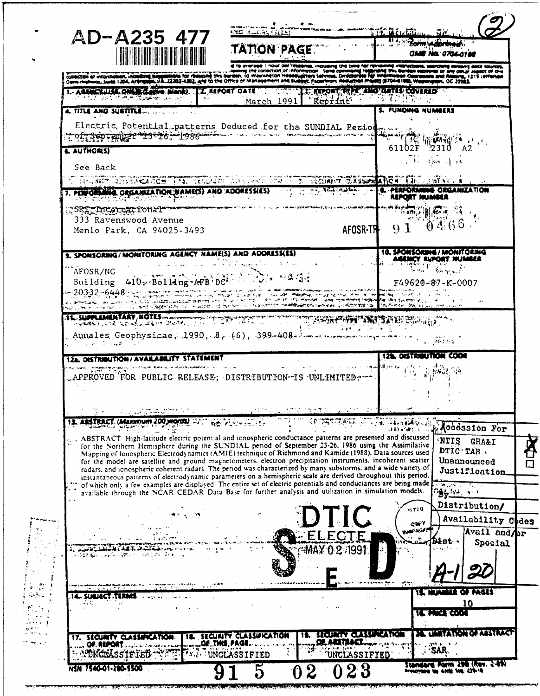|                                      |                                                                                                                                                                                                                                   | MD ALARA FREED                                                                                                                                                                                                                       |                                              | ិដី៩៤ <del>៤អ</del> ីរ៉ាយ                   |                                                        |
|--------------------------------------|-----------------------------------------------------------------------------------------------------------------------------------------------------------------------------------------------------------------------------------|--------------------------------------------------------------------------------------------------------------------------------------------------------------------------------------------------------------------------------------|----------------------------------------------|---------------------------------------------|--------------------------------------------------------|
|                                      | AD-A235 477                                                                                                                                                                                                                       | <b>TATION PAGE</b>                                                                                                                                                                                                                   |                                              |                                             |                                                        |
| Cares Hephents, Sures, 1204, Artings | a to average I now der resons, incuding the time har reviewed interventions, servered in the factories of the<br>Coleczon of information, incident hardword for newself this burden, to wanneron headquirers San commonly respons |                                                                                                                                                                                                                                      |                                              |                                             |                                                        |
|                                      | LASSECULT ON THE MANU IZ REPORT DATE TE APORT WAT ANOTHER COVERED                                                                                                                                                                 |                                                                                                                                                                                                                                      |                                              |                                             |                                                        |
|                                      | 4. TITLE AND SUSTITLE.                                                                                                                                                                                                            |                                                                                                                                                                                                                                      |                                              | <b>5. FUNDING NUMBERS</b>                   |                                                        |
|                                      | Electric Potential patterns Deduced for the SUNDIAL Period<br><del>᠁ᢩᢆ᠀ᢓᢋᢓ᠖</del> ᢩᠣ <del>ᢑ<i>ᢆᡦᢩ</i>᠓ᡫᡜᢓᢪᢀᢓ᠑᠆᠑᠔ᢃ᠆</del> ᠆ᢇٳ <del>᠀</del> ᠀ᡃᢙ᠆᠆                                                                                   |                                                                                                                                                                                                                                      |                                              |                                             |                                                        |
| <b>LAUTHORISI</b>                    |                                                                                                                                                                                                                                   |                                                                                                                                                                                                                                      |                                              | $51102$ $\frac{151}{2}$ $\frac{1003}{2310}$ |                                                        |
| See Back                             |                                                                                                                                                                                                                                   |                                                                                                                                                                                                                                      |                                              |                                             |                                                        |
|                                      | <b>BELEVIT CLEAN CANDELL IN THE REGIST OF A LEW THAT REGIST CASSES AND THE LEWIS (A)</b>                                                                                                                                          |                                                                                                                                                                                                                                      | <b>THE REPORT OF PERFORMING ORGANIZATION</b> |                                             |                                                        |
|                                      | . PERFORMING ORGANIZATION MAME(S) AND ADORESSES)                                                                                                                                                                                  |                                                                                                                                                                                                                                      |                                              | <b>REPORT NUMBER</b>                        |                                                        |
|                                      | SRT International<br>333 Ravenswood Avenue                                                                                                                                                                                        |                                                                                                                                                                                                                                      |                                              |                                             | 0.10466                                                |
|                                      | Menlo Park, CA 94025-3493                                                                                                                                                                                                         |                                                                                                                                                                                                                                      | AFOSR-TH                                     | 9 <sub>1</sub>                              |                                                        |
|                                      | 9. SPONSORING/MONITORING AGENCY NAME(S) AND ADDRESS(ES)                                                                                                                                                                           |                                                                                                                                                                                                                                      |                                              | 10. SPONSORING / MONITORING                 | AGENCY RUPORT NUMBER                                   |
|                                      | AFOSR/NC<br>Building 410, Bolling AFB DCA                                                                                                                                                                                         |                                                                                                                                                                                                                                      |                                              | <b>RETURNER THAT AND REAL PROPERTY</b>      |                                                        |
|                                      | $-20332 - 6448$ ; $-20332$                                                                                                                                                                                                        |                                                                                                                                                                                                                                      |                                              |                                             | $F49620 - 87 - K - 0007$                               |
|                                      | STEET OF THE STEET OF THE STEET OF THE STEET OF THE STEET OF THE STEET OF THE STEET OF THE STEET OF THE STEET                                                                                                                     | meter internationalistical economics (e. coloredo de la coloredo de la grandesia). Leves international regiona<br>Heraldi de la coloredo de la coloredo de la coloredo de la coloredo de la provincia de la coloredo de la color<br> |                                              |                                             |                                                        |
|                                      | AL SUPPLEMENTARY NOTES TO THE THE TEST OF THE THE THE TEST OF THE TWO TO A REPORT OF THE TEST OF THE TEST OF T                                                                                                                    |                                                                                                                                                                                                                                      |                                              |                                             |                                                        |
|                                      | Annales Geophysicae, 1990, 8, 6), 399-408 200 mars and the same of the same<br>and the state of the state of the state                                                                                                            |                                                                                                                                                                                                                                      |                                              |                                             |                                                        |
|                                      | 12a. DISTRIBUTION/AVAILABILITY STATEMENT                                                                                                                                                                                          |                                                                                                                                                                                                                                      |                                              | <b>12h. DISTRIBUTION CODE</b>               |                                                        |
|                                      | _APPROVED FOR PUBLIC RELEASE; DISTRIBUTION-IS UNLIMITED:                                                                                                                                                                          |                                                                                                                                                                                                                                      |                                              | 将需编译                                        |                                                        |
|                                      |                                                                                                                                                                                                                                   |                                                                                                                                                                                                                                      |                                              |                                             |                                                        |
|                                      |                                                                                                                                                                                                                                   |                                                                                                                                                                                                                                      |                                              |                                             |                                                        |
|                                      |                                                                                                                                                                                                                                   |                                                                                                                                                                                                                                      |                                              |                                             |                                                        |
|                                      | 13. ASSTRACT. (Maximum 200 yronda) Statistics Development                                                                                                                                                                         |                                                                                                                                                                                                                                      | A.F.                                         | 「後」 (みずみ)を取得ないこと<br>Danmart (C)             |                                                        |
|                                      | ABSTRACT High-latitude electric potential and ionospheric conductance patterns are presented and discussed<br>for the Northern Hemisphere during the SUNDIAL period of September 23-26. 1986 using the Assimilative               |                                                                                                                                                                                                                                      |                                              |                                             | NTIS<br><b>GRA&amp;I</b>                               |
|                                      | Mapping of Ionospheric Electrodynamics (AMIE) technique of Richmond and Kamide (1988). Data sources used<br>for the model are satellite and ground magnetometers, electron precipitation instruments, incoherent scatter          |                                                                                                                                                                                                                                      |                                              |                                             | DTIC TAB.<br>Unannounced                               |
|                                      | radars, and ionospheric coherent radars. The period was characterized by many substorms, and a wide variety of<br>instantaneous patterns of electrodynamic parameters on a hemispheric scale are derived throughout this period.  |                                                                                                                                                                                                                                      |                                              |                                             |                                                        |
|                                      | of which only a few examples are displayed. The entire set of electric potentials and conductances are being made<br>available through the NCAR CEDAR Data Base for further analysis and utilization in simulation models.        |                                                                                                                                                                                                                                      |                                              |                                             | ် <del>နှင့် လာသာ</del>                                |
|                                      |                                                                                                                                                                                                                                   |                                                                                                                                                                                                                                      |                                              | 0110                                        | <b>Accession For</b><br>Justification<br>Distribution/ |
|                                      |                                                                                                                                                                                                                                   |                                                                                                                                                                                                                                      |                                              | <b>GOPY</b><br><b>WARTEGE</b>               |                                                        |
|                                      |                                                                                                                                                                                                                                   |                                                                                                                                                                                                                                      |                                              |                                             | Availability Chdes<br>Avail and pr<br>l8t.<br>Special  |
|                                      | $\mathcal{F}_\text{max} = \mathcal{F}_\text{max}$<br><b>SAMPLE</b>                                                                                                                                                                |                                                                                                                                                                                                                                      | MAY 0 2-1991.                                |                                             |                                                        |
|                                      |                                                                                                                                                                                                                                   |                                                                                                                                                                                                                                      |                                              |                                             |                                                        |
|                                      | SUBJECT TERMS                                                                                                                                                                                                                     |                                                                                                                                                                                                                                      |                                              |                                             | <b>IS NUMBER OF PAGES</b>                              |
|                                      |                                                                                                                                                                                                                                   |                                                                                                                                                                                                                                      |                                              |                                             | 10<br><b>IL MIER COOL</b>                              |
|                                      |                                                                                                                                                                                                                                   |                                                                                                                                                                                                                                      | <b>SEQUATY CLASSIFICATION</b>                |                                             | TITT                                                   |
| OF. REPORT                           | 17. SEQUATY CLASSIFICATION<br>OF THIS                                                                                                                                                                                             | SECURITY CLASSIFICATION<br>** . UNCLASSIFIED                                                                                                                                                                                         | <b>GE. ARETHACE.</b><br>UNCLASSIFIED         |                                             | WE'LL ARMA<br>1999.6<br><b>SAR</b>                     |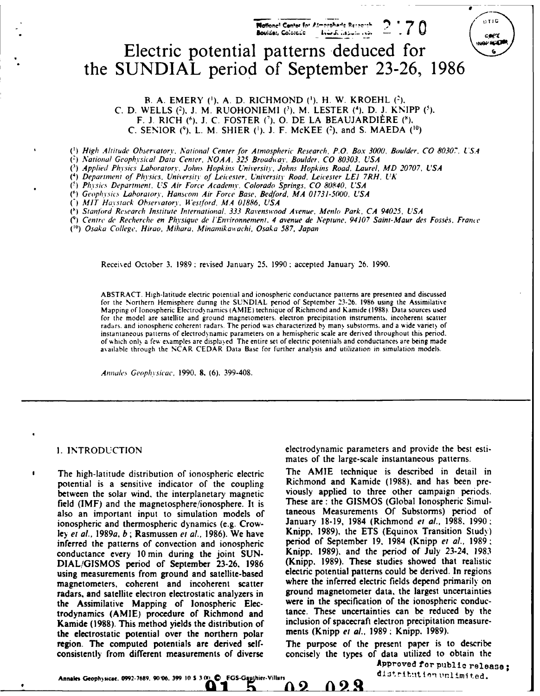

**B. A.** EMERY (1). **A.** D. RICHMOND (1). H. W. KROEHL (2). C. **D.** WELLS **(2), J.** M. RUOHONIEMI **(3),** M. LESTER **(4),** D. **J.** KNIPP **(5).** F. **J.** RICH **(6), J. C.** FOSTER *C).* **0. DE LA BEAUJARDIERE (1), C. SENIOR** (9), L. M. SHIER **(1). J.** F. McKEE (2), and **S. MAEDA (10)**

*(1) High Altitude* Observatory, National Center *.for* Atmospheric Research, P.O. Box 3000, Boulder. CO 80307, *USA*

**(2)** *National* Geophysical Data Center, NOAA, 325 Broadway, Boulder. CO *80303.* USA

*(3)* Applied Physics Laboratory, John.% Hopkins Universitiy. *Johns* Hopkins Road. Laurel, MD 20707, USA

*(4)* Department of Physics. *University* of Leicester, University Road, Leicester **LEI** 7RH, UK

**(5)** Ph.ysic.k Department, US Air Force Academy. Colorado *Springs,* CO 80840, USA

**(1')** *Geopinsic.* Laboratory, Hanscom Air Force Base, Bedford, MA 01731-5000, USA

*(' MIT* Haystack Observatory, *l4estford,* MA 01886, USA

*(0)* Stanford Re.search Institute International, 333 Ravenswood Avenue. Menlo Park, CA 94025, USA

*(') Centre* de Recherche en Physique de *I'Environnement.* 4 avenue de Neptune, 94107 Saint-Maur des Foss's, Frame

(<sup>10</sup>) Osaka College, Hirao, Mihara, Minamikawachi, Osaka 587, Japan

Received October 3. 1989 : revised January 25, 1990 : accepted January 26. 1990.

ABSTRACT. High-latitude electric potential and ionospheric conductance patterns are presented and discussed for the Northern Hemisphere dunng the SUNDIAL period of September 23-26. 1986 using the Assimilative Mapping of Ionospheric Electrod, namics (AMIE) technique of Richmond and Kamide (1988). Data sources used for the model are satellite and ground magnetometers. electron precipitation instruments, incoherent scatter radars, and ionospheric coherent radars. The period was characterized by many substorms, and a wide variety of instantaneous patterns of electrodynamic parameters on a hemispheric scale are derived throughout this period. of which only a few examples are displayed. The entire set of electric potentials and conductances are being made available through the NCAR CEDAR Data Base for further analysis and utilization in simulation models.

Annah'c. Geophtsicac, 1990. **8.** (6). 399-408.

potential is a sensitive indicator of the coupling between the solar wind, the interplanetary magnetic viously applied to three other campaign periods.<br>field (IMF) and the magnetosphere/jonosphere. It is These are : the GISMOS (Global Ionospheric Simulfield (IMF) and the magnetosphere/ionosphere. It is These are: the GISMOS (Global Ionospheric Simul-<br>also an important input to simulation models of taneous Measurements Of Substorms) period of also an important input to simulation models of ionospheric and thermospheric dynamics (e.g. Crow-<br>
January 18-19, 1984 (Richmond et al., 1988, 1990; icy et *al.,* 1989a, *b;* Rasmussen *et al.,* 1986). We have Knipp, 1989). the ETS (Equinox Transition Study) inferred the patterns of convection and ionospheric period of September **19,** 1984 (Knipp *et al.,* 1989; conductance every 10 min during the joint SUN-<br>
DIAL/GISMOS period of September 23-26, 1986 (Knipp. 1989). These studies showed that realistic DIAL/GISMOS period of September 23-26, 1986 using measurements from ground and satellite-based electric potential patterns could be derived. In regions magnetometers coherent and incoherent scatter where the inferred electric fields depend primarily on magnetometers, coherent and incoherent scatter where the inferred electric fields depend primarily on radars and satellite electron electrostatic analyzers in ground magnetometer data, the largest uncertainties radars, and satellite electron electrostatic analyzers in the Assimilative Mapping of Ionospheric Elec-<br> **Example 18 Follow 10** tradynamics (AMIE) procedure of Richmond and tance. These uncertainties can be reduced by the trodynamics **(AMIE)** procedure of Richmond and lance. These uncertainties can be reduced by the Kamide (1988). This method yields the distribution of inclusion of spacecraft electron precipitation the electrostatic potential over the northern polar intensity (Knipp *et al.*, 1989; Knipp, 1989). the electrostatic potential over the northern polar region. The computed potentials are derived self- The purpose of the present paper is to describe consistently from different measurements of diverse concisely the types of data utilized to obtain the

I. INTRODUCTION electrodynamic parameters and provide the best estimates of the large-scale instantaneous patterns.

The high-latitude distribution of ionospheric electric The AMIE technique is described in detail in potential is a sensitive indicator of the counling Richmond and Kamide (1988), and has been pre-

023

Λ2

Approved **for** public release distribution unlimited.

**Annale, Geophicac. 0992.7699. 90,06. 399 10 S 3 NO9 IQ FGS-G hier-Villars**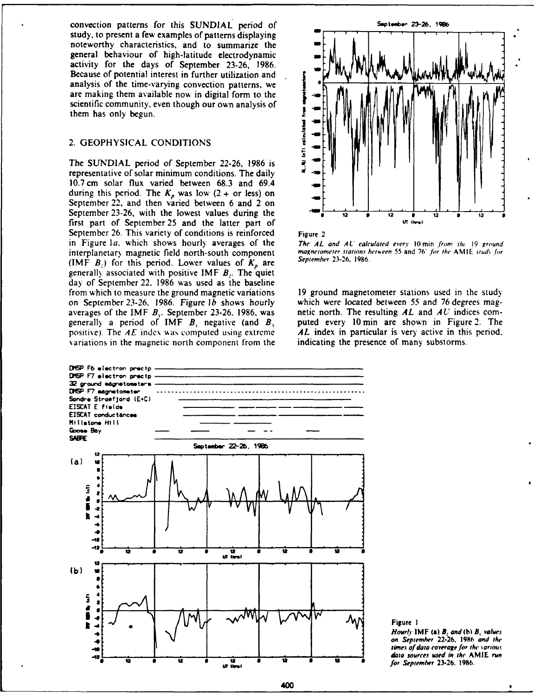convection patterns for this SUNDIAL period of **September 23-26**, 1986 study, to present a few examples of patterns displaying noteworthy characteristics, and to summarize the general behaviour of high-latitude electrodynamic activity for the days of September 23-26, 1986. Because of potential interest in further utilization and analysis of the time-varying convection patterns, we are making them available now in digital form to the scientific community, even though our own analysis of \_ them has only begun.

# 2. GEOPHYSICAL **CONDITIONS** .

The SUNDIAL period of September 22-26, 1986 is representative of solar minimum conditions. The daily 10.7 cm solar flux varied between 68.3 and 69.4 during this period. The  $K_p$  was low (2 + or less) on September 22, and then varied between 6 and 2 on September 23-26, with the lowest values during the - <sup>12</sup>\* **12 9 12 6 12** first part of September 25 and the latter part of September 26. This variety of conditions is reinforced Figure 2 in Figure 1a, which shows hourly averages of the The AL and AU calculated every 10 min from the 19 ground<br>interplanetary magnetic field north-south component magnetometer stations between 55 and 76° for the AMIE study for interplanetary magnetic field north-south component magnetometer stations between 55 and 76 and 76 and 76 and 76<br>(IME *P*) for this period. I ower values of *K* are September 23-26, 1986. (IMF  $B_2$ ) for this period. Lower values of  $K_p$  are generally associated with positive IMF *B:.* The quiet day of September 22. 1986 was used as the baseline from which to measure the ground magnetic variations 19 ground magnetometer stations used in the study on September 23-26. 1986. Figure *lb* shows hourly which were located between 55 and 76 degrees magaverages of the IMF *B,.* September 23-26. 1986, was netic north. The resulting *AL* and *AU* indices comgenerall) a period of IMF *B,* negative (and *B,* puted every 10 min are shown in Figure 2. The positive). The *AE* index was computed using extreme **AL** index in particular is very active in this period, variations in the magnetic north component from the indicating the presence of many substorms. variations in the magnetic north component from the







**Figure 1** 

*Hourly* **IMF (a) B: and** *(b* **B,** *ralues 4* **on September 22-26. 1986 and** the times of data coverage for the various *data* sources used in **the AMIE run** for September **23-26. 1986. r go" <sup>0</sup>**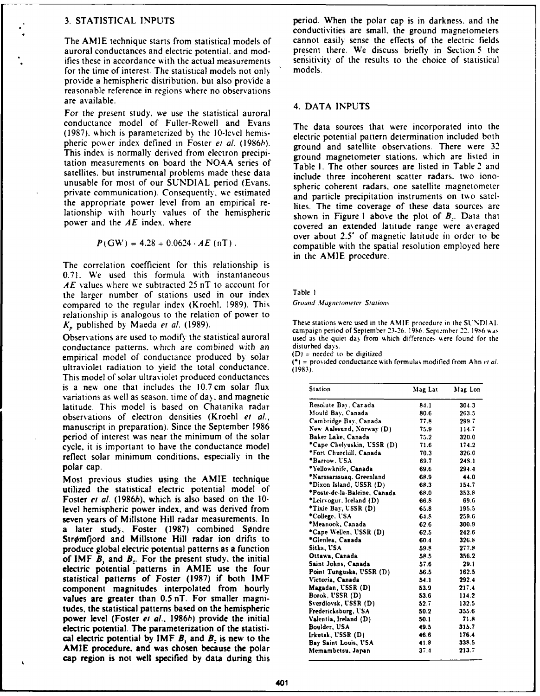auroral conductances and electric potential, and mod-<br>ifies these in accordance with the actual measurements sensitivity of the results to the choice of statistical **These in accordance with the actual measurements** sensitivity for the time of interest. The statistical models not only in models. for the time of interest. The statistical models not only provide a hemispheric distribution, but also provide a reasonable reference in regions where no observations are available. 4. **DATA INPUTS**

For the present study, we use the statistical auroral conductance model of Fuller-Rowell and Evans (1987). which is parameterized **b)** the 10-lexel hemis- electric potential pattern determination included both pheric power index defined in Foster et al. (1986b). ground and satellite observations. There were 32 This index is normally derived from electron precipi-<br>ground magnetometer stations, which are listed in tation measurements on board the NOAA series of Table 1. The other sources are listed in Table 2 and satellites, but instrumental problems made these data include three incoherent scatter radars, two ionounusable for most of our SUNDIAL period (Evans. spheric coherent radars, one satellite magnetometer private communication). Consequently, we estimated and particle precipitation instruments on two satelthe appropriate power level from an empirical re- lites. The time coverage of these data sources are lationship with hourly values of the hemispheric shown in Figure 1 above the plot of  $B$ . Data that

$$
P(GW) = 4.28 + 0.0624 \cdot AE
$$
 (nT).

The correlation coefficient for this relationship is 0.71. We used this formula with instantaneous *AE* values where we subtracted 25 nT to account for the larger number of stations used in our index Table **I**<br>compared to the regular index (Kroebl 1989) This Ground Magnetometer Stations compared to the regular index (Kroehl. 1989). This relationship is analogous to the relation of power to

Observations are used to modify the statistical auroral used as the quiet day from which differences were found for the<br>conductance, natterns, which are combined with an disturbed days. conductance patterns, which are combined with *an* disturbed days. empirical model of conductance produced by solar **EMPITICAL INCOLUTE: CONDUCTANCE PRODUCTS** FOR EXTERN (\*) = provided conductance with formulas modified from Ahn *et al.* ultraviolet radiation to yield the total conductance. (1983). This model of solar ultraviolet produced conductances is a new one that includes the  $10.7 \text{ cm}$  solar flux variations as well as season, time of day, and magnetic latitude. This model is based on Chatanika radar observations of electron densities (Kroehl et al., **manuscript in preparation). Since the September 1986** period of interest was near the minimum of the solar cycle, it is important to have the conductance model reflect solar minimum conditions, especially in the polar cap. **OYetlowknife, Canada 69.6 294.4**

Most previous studies using the AMIE technique **utilized** the statistical electric potential model of Foster et al. (1986b), which is also based on the 10level hemispheric power index, and was derived from seven years of Millstone Hill radar measurements. In a later study, Foster (1987) combined Søndre Strømfjord and Millstone Hill radar ion drifts to produce global electric potential patterns as a function of IMF  $\mathbf{B}_1$  and  $\mathbf{B}_2$ . For the present study, the initial  $B$  **clectric** potential patterns in AMIE use the four statistical patterns of Foster (1987) if both IMF component magnitudes interpolated from hourly values are greater than  $0.5$  nT. For smaller magni $t$ udes, the statistical patterns based on the hemispheric power level (Foster et al., 1986b) provide the initial electric potential. The parameterization of the statistical electric potential by  $IMF$  *B*, and *B*<sub>z</sub> is new to the Irkutsk, USSR (D) 46.6 176.4<br> **a Bay** Saint Louis, USA 41.8 338.5 **AMIE** procedure, and was chosen because the polar **cap region is not well specified by data during** this

**3.** STATISTICAL **INPUTS** period. When the polar cap is in darkness. and the conductivities are small, the ground magnetometers The AMIE technique starts from statistical models of cannot easily sense the effects of the electric fields

The data sources that were incorporated into the power and the *AE* index, where covered an extended latitude range were averaged over about 2.5\* of magnetic latitude in order to be compatible with the spatial resolution employed here in the AMIE procedure.

*K,* published by Maeda et al. (1989). These stations were used in the **AMIE** procedure in the **SUNDIAL** campaign period of September 23-26. **19S6.** September 22. **19N6 k** as

| <b>Station</b>               | Mag Lat | Mag Lon |
|------------------------------|---------|---------|
| Resolute Bay, Canada         | 84.1    | 304.3   |
| Mould Bay, Canada            | 80.6    | 263.5   |
| Cambridge Bay, Canada        | 77.8    | 299.7   |
| New Aalesund, Norway (D)     | 75.9    | 114.7   |
| Baker Lake, Canada           | 75.2    | 320.0   |
| *Cape Chelyuskin, USSR (D)   | 71.6    | 174.2   |
| *Fort Churchill, Canada      | 70.3    | 326.0   |
| *Barrow, USA                 | 69.7    | 24S.1   |
| *Yellowknife, Canada         | 69.6    | 294.4   |
| *Narssarssuag, Greenland     | 68.9    | 44.0    |
| *Dixon Island, USSR (D)      | 68.3    | 154.7   |
| *Poste-de-la-Baleine. Canada | 68.0    | 353.8   |
| *Leirvogur, Iceland (D)      | 66.8    | 69.6    |
| *Tixie Bay, USSR (D)         | 65.8    | 195.5   |
| *College, USA                | 64.8    | 259.6   |
| *Meanook, Canada             | 62.6    | 300.9   |
| *Cape Wellen, USSR (D)       | 62.5    | 242.6   |
| *Glenlea, Canada             | 60.4    | 326.8   |
| Sitka, USA                   | 59.8    | 277.8   |
| Ottawa, Canada               | 58.5    | 356.2   |
| Saint Johns, Canada          | 57.6    | 29.1    |
| Point Tunguska, USSR (D)     | 56.5    | 162.5   |
| Victoria, Canada             | 54.1    | 292.4   |
| Magadan, USSR (D)            | 53.9    | 217.4   |
| Borok. USSR (D)              | 53.6    | 114.2   |
| Sverdlovsk, USSR (D)         | 52.7    | 132.5   |
| Fredericksburg, USA          | 50.2    | 355.6   |
| Valentia, Ireland (D)        | 50.1    | 71.8    |
| Boulder, USA                 | 49.5    | 315.7   |
| Irkutsk, USSR (D)            | 46.6    | 176.4   |
| Bay Saint Louis, USA         | 41.8    | 338.5   |
| Memambetsu, Japan            | 37.1    | 213.7   |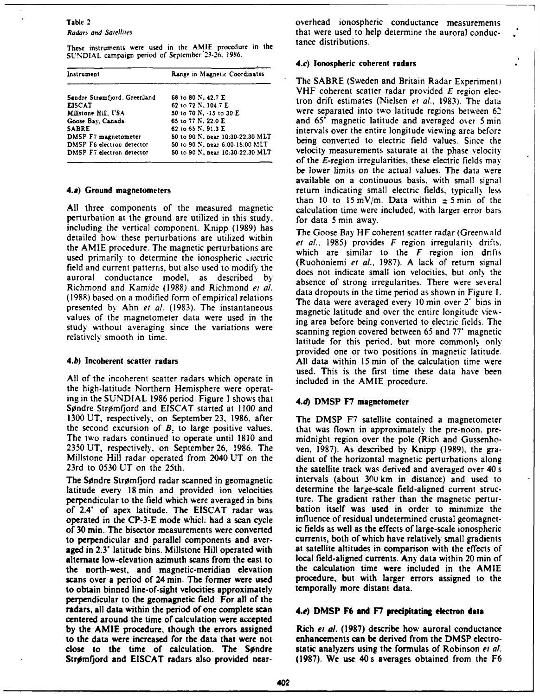These instruments were used in the AMIE procedure in the **SUNDIAL** campaign period of September'23-26. 1986.

| Instrument                   | Range in Magnetic Coordinates    |
|------------------------------|----------------------------------|
| Søndre Strømfjord, Greenland | 68 to 80 N, 42.7 E               |
| <b>EISCAT</b>                | 62 to 72 N, 104.7 E              |
| Millstone Hill, USA          | 50 to 70 N, -15 to 30 E          |
| Goose Bay, Canada            | 65 to 77 N, 22.0 E               |
| <b>SABRE</b>                 | 62 to 65 N, 91.3 E               |
| DMSP F7 magnetometer         | 50 to 90 N, near 10:30-22:30 MLT |
| DMSP F6 electron detector    | 50 to 90 N, near 6:00-18:00 MLT  |
| DMSP F7 electron detector    | 50 to 90 N, near 10:30-22:30 MLT |

perturbation at the ground are utilized in this study, for data 5 **min** away. including the vertical component. Knipp (1989) has The Goose Bay HF coherent scatter radar (Greenwald detailed how these perturbations are utilized within et al., **1985)** provides F region irregularity drifts. the **AMIE** procedure. The magnetic perturbations are **which are similar to the** *F* **region ion dnfts** used primarily to determine the ionospheric clectric field and current patterns, but also used to modify the **does not indicate small ion velocities**, but only the **auroral conductance model, as described** *by* absence of strong irregularities. There were several **Richmond and Kamide (1988)** and **Richmond** *el a .* data dropouts in the time period as shown in Figure **1. (1988)** based **on a modified form ofempirical relations** The data were averaged every **10 min** over 2' bins in **presented** by **Ahn** *et a!.* **(1983). The instantaneous** magnetic latitude and over the entire longitude viewvalues of the magnetometer data were used in the study without averaging since the variations were scanning region covered between 65 and 77<sup>°</sup> magnetic

**All** of the incoherent scatter radars which operate in included in the **AMIE** procedure. the high-latitude Northern Hemisphere were operating in the **SUNDIAL 1986** period. Figure **1** shows that **4.d)** DMSP **F7** magnetometer Sondre Stremjord and **EISCAT** started at **1100** and **1300 UT,** respectively, on September **23, 1986,** after The DMSP **F7** satellite contained a magnetometer the second excursion of  $B<sub>z</sub>$  to large positive values. that was flown in approximately the pre-noon, pre-The two radars continued to operate until **1810** and midnight region over the pole (Rich and Gussenho-**2350 UT,** respectively, on September **26, 1986.** The yen, **1987).** As described **by** Knipp **(1989).** the gra-Millstone Hill radar operated from 2040 **UT** on the dient of the horizontal magnetic perturbations along

The Sendre Stromfjord radar scanned in geomagnetic intervals (about **30U** km in distance) and used to latitude every **18 min** and provided ion velocities determine the large-scale field-aligned current strucperpendicular to the field which were averaged in bins ture. The gradient rather than the magnetic perturof 2.4" of apex latitude. The **EISCAT** radar was bation itself was used in order to minimize the operated in the **CP-3-E** mode whicl. had a scan cycle influence of residual undetermined crustal geomagnetof **30 min.** The bisector measurements were converted ic fields as well as the effects of large-scale ionospheric to perpendicular and parallel components and aver- currents, both of which have relatively small gradients aged in **2.3"** latitude bins. Millstone Hill operated with at satellite altitudes in comparison with the effects of alternate low-elevation azimuth scans from the east to local field-aligned currents. Any data within 20 **min** of the north-west, and magnetic-meridian elevation scans over a period of 24 **min.** The former were used procedure, but with larger errors assigned to the to obtain binned line-of-sight velocities approximately temporally more distant data. perpendicular to the geomagnetic field. For all of the radars, all data within the period of one complete scan **4.0) DMSP F6 and F7 precipitating electron data** centered around the time of calculation were accepted **by** the **AMIE** procedure, though the errors assigned Rich *et* al. **(1987)** describe how auroral conductance to the data were increased for the data that were not enhancements can **be** derived from the DMSP electroclose to the time of calculation. The Søndre static analyzers using the formulas of Robinson et al.

Table 2 overhead ionospheric conductance measurements Radars and Satellites that were used to help determine the auroral conduc-<br>tance distributions.

# 4.c) **Ionospheric coherent radars**

**The** SABRE (Sweden and Britain Radar Experiment) VHF coherent scatter radar provided  $E$  region electron drift estimates (Nielsen et al., 1983). The data were separated into two latitude regions between 62 **Goose Bay, Canada 65** to **77** *N,* **22.0 E** and **65** magnetic latitude and averaged over 5 **min** intervals over the entire longitude viewing area before **being converted to electric field values. Since the velocity measurements saturate at the phase velocity** of the  $E$ -region irregularities, these electric fields may be lower limits on the actual values. The data were available on a continuous basis, with small signal **4.a)** Ground magnetometers **return indicating small electric fields**, typically less All three components of the measured magnetic than 10 to 15 mV/m. Data within  $\pm$  5 min of the calculation time were included, with larger error bars

fied pttens.butals ad crret usd t moifythe **(Ruohoniemi** *et al.,* **1987). A lack of return signal** relatively smooth in time.<br>latitude for this period, but more commonly only provided one or two positions in magnetic latitude. **4.b) Incoherent** scatter radars **All** data within 15 **min** of the calculation time were used. This is the first time these data have been

23rd to 0530 UT on the 25th. the satellite track was derived and averaged over 40 s

Stromfjord and **EISCAT** radars also provided near- **(1987).** We use 40 s averages obtained from the **F6**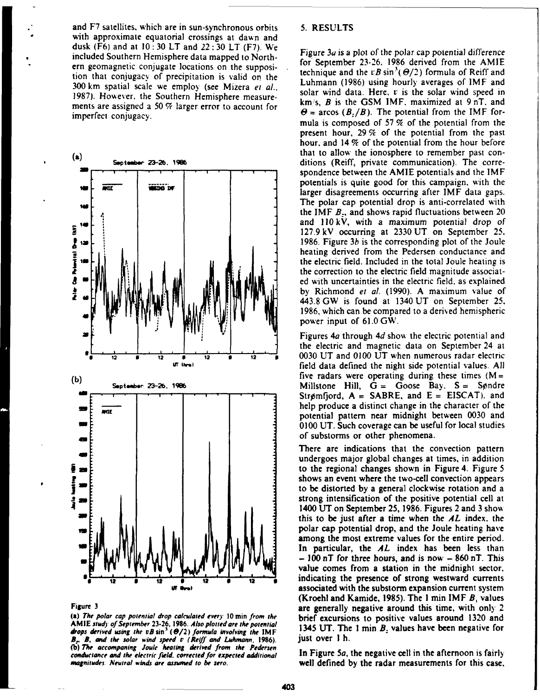and F7 satellites, which are in sun-synchronous orbits 5. RESULTS with approximate equatorial crossings at dawn and dusk **(F6)** and at **10: 30** LT and 22: **30** LT **(F7).** We included Southern Hemisphere data mapped to North- **Figure** *3a* **is** a plot of **the** polar **cap potential** difference ern geomagnetic conjugate locations on the supposition is replember  $23-26$ . 1986 derived from the AMIE<br>technique and the  $vB \sin^3(\Theta/2)$  formula of Reiff and tion that conjugacy of precipitation is valid on the technique and the *rB* sin *(o/2)* formula of Reiff and  $L_{\text{B}}$  and  $L_{\text{B}}$  and  $L_{\text{B}}$  and  $L_{\text{B}}$  and  $L_{\text{B}}$  and  $L_{\text{B}}$  and  $L_{\text{B}}$  and  $L_{\text{B}}$  and 300 km spatial scale we employ (see Mizera *et al..* Luhmann (1986) using hourly averages of IMF and 1987). However, the Southern Hemisphere measure-<br>ments are osciened a 50  $\%$  larger error to occupy for  $km/s$ , B is the GSM IMF, maximized at 9 nT, and ments are assigned a 50  $\%$  larger error to account for  $\theta = \arccos (B_r/B)$ . The potential from the IMF for-<br>imperfect conjugacy.



**AMIE stud"** of September **23-26, 1986.** Also **plottedare the potential 1345** UT. **The** 1 **mi** *B.* **values have been negative for** drops derived using the  $vB \sin^3 (\Theta/2)$  formula involving the IMF 1345 UT. The strived using the  $vB \sin^3 (\Theta/2)$  formula involving the IMF 1345 UT. The solar wind speed  $v$  (Reiff and Luhmann, 1986). JUSt OVET 1 h **(b)** *The accompaning* **Joule heating derived from the Pedersen conductance and the electric feld, corrected** for **expected** additional **In** Figure 5a, the negative cell in the afternoon is fairly

 $\overline{\phantom{a}}$  , and the set of the set of the set of the set of the set of the set of the set of the set of the set of the set of the set of the set of the set of the set of the set of the set of the set of the set of the s

mula is composed of 57 **%** of the potential from the present hour, 29 % of the potential from the past hour. and 14 % of the potential from the hour before Soptember 23-26, 1986 **b. ditions** (Reiff, private communication). The correspondence between the AMIE potentials and the IMF potentials is quite good for this campaign. with the **us be** a larger disagreements occurring after IMF data gaps. The polar cap potential drop is anti-correlated with the IMF *B:,* and shows rapid fluctuations between 20 and 110 kV, with a maximum potential drop of **:** 127.9kV occurring at 2330 **UT** on September 25. 1986. Figure  $3b$  is the corresponding plot of the Joule heating derived from the Pedersen conductance and the electric field. Included in the total Joule heating is the correction to the electric field magnitude associated with uncertainties in the electric field, as explained by Richmond *et al.* (1990). A maximum value of 443.8GW is found at 1340 UT on September **25.** 1986, which can be compared to a derived hemispheric power input of 61.0 GW.

**z.** ,'Figures *4a* through *4d* show **the** electric potential and the electric and magnetic data on September 24 at  $\frac{1}{12}$  **12 12 12 12 12 2 0030 UT** and 0100 UT when numerous radar electric field data defined the night side potential values. All  $Stringmford, A = SABRE, and E = EISCAT)$ . and **NUE 1 help produce a distinct change in the character of the** potential pattern near midnight between 0030 and - 0100 **UT.** Such coverage can be useful for local studies of substorms or other phenomena.

There are indications that the convection pattern undergoes major global changes at times, in addition to the regional changes shown in Figure 4. Figure  $5$ shows an event where the two-cell convection appears to be distorted **by** a general clockwise rotation and a strong intensification of the positive potential cell at 1400 **UT** on September 25, 1986. Figures 2 and 3 sho% - this to be just after a time when the *AL* index, the polar cap potential drop, and the Joule heating have among the most extreme values for the entire period. In particular, the *AL* index has been less than **- 100** nT for three hours, and is now **- 860** nT. This value comes from a station in the midnight sector. **0 12 9 12 0** 1 **0 12** \* indicating the presence of strong westward currents associated with the substorm expansion current system (Kroehl and Kamide, **1985).** The **1 min** IMF *B,* values **Figure 3 are generally negative around this time, with only 2 are generally negative around this time, with only 2 (a) The polar cap potential drop calculated every 10 min from the** brief excursions to positive values around **1320** and

magnitudes. **Neutral** winds **are assumed to be zero.** well defined **by** the radar measurements for this case,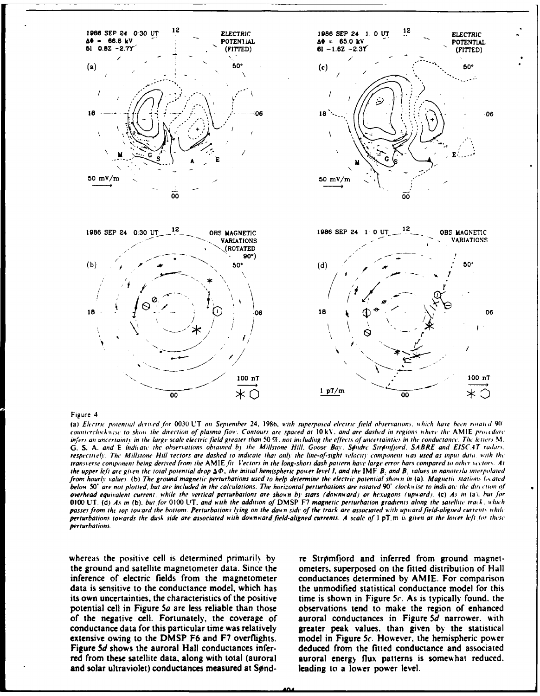

### Figure 4

(a) Electric potential derived for 0030 UT on September 24, 1986, with superposed electric field observations, which have been rotated 90' counterclockwise to show the direction of plasma flow. Contours are spaced at 10kV, and are dashed in regions where the AMIE procedure infers an uncertainty in the large scale electric field greater than 50 %, not including the effects of uncertainties in the conductance. The letters M. G. S. A. and E indicate the observations obtained by the Millstone Hill, Goose Bay, Sondre Stromfjord, SABRE and EISCAT radars. respectively. The Millstone Hill vectors are dashed to indicate that only the line-of-sight velocity component was used as input data, with the transverse component being derived from the AMIE fit. Vectors in the long-short dash pattern have large error bars compared to other vectors. At the upper left are given the total potential drop  $\Delta\Phi$ , the initial hemispheric power level 1, and the IMF B, and B, values in nanotesly interpolated from hourly values. (b) The ground magnetic perturbations used to help determine the electric potential shown in (a). Magnetic stations located below 50° are not plotted, but are included in the calculations. The horizontal perturbations are rotated 90° clockwise to indicate the direction of overhead equivalent current, while the vertical perturbations are shown by stars (downward) or hexagons (upward). (c) As in (a), but for 0100 UT. (d) As in (b), but for 0100 UT, and with the addition of DMSP F7 magnetic perturbation gradients along the satellite track, which passes from the top toward the bottom. Perturbations lying on the dawn side of the track are associated with upward field-aligned currents while perturbations towards the dusk side are associated with downward field-aligned currents. A scale of 1 pT, m is given at the lower left for these perturbations.

whereas the positive cell is determined primarily by the ground and satellite magnetometer data. Since the inference of electric fields from the magnetometer data is sensitive to the conductance model, which has its own uncertainties, the characteristics of the positive potential cell in Figure 5a are less reliable than those of the negative cell. Fortunately, the coverage of conductance data for this particular time was relatively extensive owing to the DMSP F6 and F7 overflights. Figure 5d shows the auroral Hall conductances inferred from these satellite data, along with total (auroral and solar ultraviolet) conductances measured at Sønd-

re Strømfjord and inferred from ground magnetometers, superposed on the fitted distribution of Hall conductances determined by AMIE. For comparison the unmodified statistical conductance model for this time is shown in Figure 5 $c$ . As is typically found, the observations tend to make the region of enhanced auroral conductances in Figure 5d narrower, with greater peak values, than given by the statistical model in Figure 5c. However, the hemispheric power deduced from the fitted conductance and associated auroral energy flux patterns is somewhat reduced. leading to a lower power level.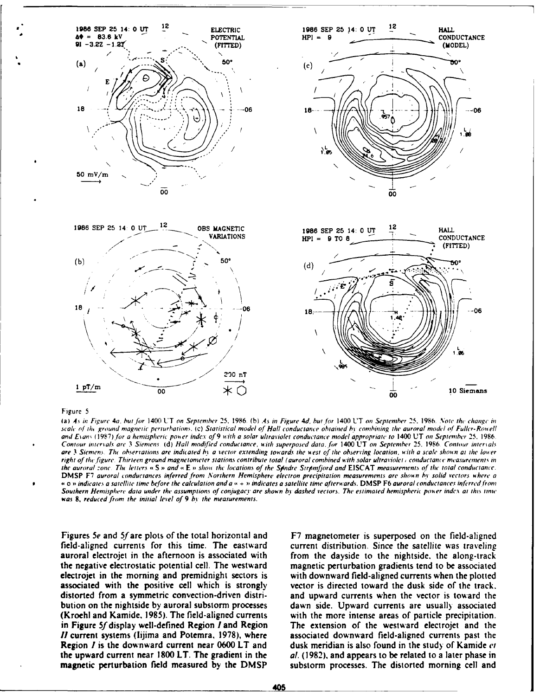

### Figure 5

(a) As in Figure 4a, but for 1400 UT on September 25, 1986. (b) As in Figure 4d, but for 1400 UT on September 25, 1986. Note the change in scale of the ground magnetic perturbations. (c) Statistical model of Hall conductance obtained by combining the auroral model of Fuller-Rowell and Evans (1987) for a hemispheric power index of 9 with a solar ultraviolet conductance model appropriate to 1400 UT on September 25, 1986. Contour intervals are 3 Siemens (d) Hall modified conductance, with superposed data, for 1400 UT on September 25, 1986. Contour intervals are 3 Siemens. The observations are indicated by a vector extending towards the west of the observing location, with a scale shown at the lower right of the figure. Thirteen ground magnetometer stations contribute total (auroral combined with solar ultraviolet) conductance measurements in the auroral zone. The letters «S » and «E » show the locations of the Spndre Strpmfjord and EISCAT measurements of the total conductance. DMSP F7 auroral conductances inferred from Northern Hemisphere electron precipitation measurements are shown by solid vectors where a « o » indicates a satellite time before the calculation and a « + » indicates a satellite time afterwards. DMSP F6 auroral conductances inferred from Southern Hemisphere data under the assumptions of conjugacy are shown by dashed vectors. The estimated hemispheric power index at this time was 8, reduced from the initial level of 9 by the measurements.

Figures 5e and 5f are plots of the total horizontal and field-aligned currents for this time. The eastward auroral electrojet in the afternoon is associated with the negative electrostatic potential cell. The westward electrojet in the morning and premidnight sectors is associated with the positive cell which is strongly distorted from a symmetric convection-driven distribution on the nightside by auroral substorm processes (Kroehl and Kamide, 1985). The field-aligned currents in Figure 5f display well-defined Region I and Region II current systems (lijima and Potemra, 1978), where **Region I** is the downward current near 0600 LT and the upward current near 1800 LT. The gradient in the magnetic perturbation field measured by the DMSP F7 magnetometer is superposed on the field-aligned current distribution. Since the satellite was traveling from the dayside to the nightside, the along-track magnetic perturbation gradients tend to be associated with downward field-aligned currents when the plotted vector is directed toward the dusk side of the track. and upward currents when the vector is toward the dawn side. Upward currents are usually associated with the more intense areas of particle precipitation. The extension of the westward electrojet and the associated downward field-aligned currents past the dusk meridian is also found in the study of Kamide et al. (1982), and appears to be related to a later phase in substorm processes. The distorted morning cell and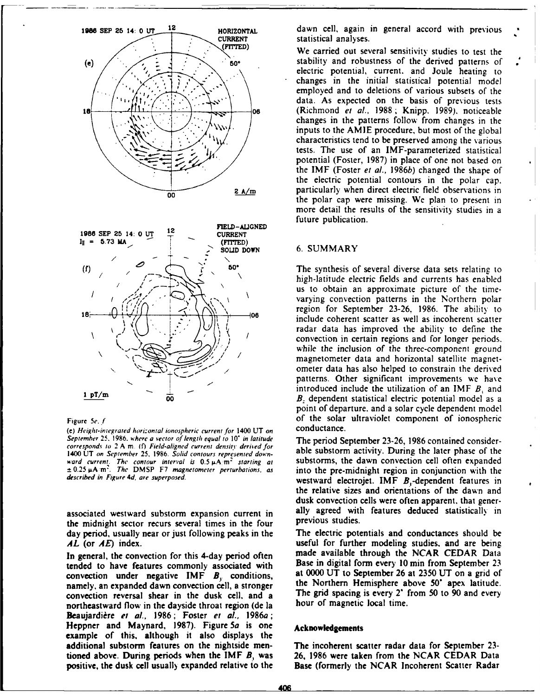

(e) Height-integrated horizontal ionospheric current for 1400 UT on September **25. 1986.** where *a* vector of length equal to *10\** in latitude The period September 23-26, 1986 contained considercorresponds to 2 A m. (f) Field-aligned current density derived for 1400 UT on September 25, 1986. Solid contours represented down-<br>1400 UT on September 25, 1986. Solid contours represented down-<br>ward current. The contour interval is 0.5 uA m<sup>2</sup> starting at substorms, the dawn convection c ward current. The contour interval is  $0.5 \mu A/m^2$  starting at substorms, the dawn convection cell often expanded  $\pm 0.25 \mu A/m^2$ . The DMSP F7 magnetometer perturbations, as into the pre-midnight region in conjunction with

the midnight sector recurs several times in the four day period, usually near or just following peaks in the The electric potentials and conductances should be *AL* (or *AE*) index. **useful for further modeling studies, and are being** 

tended to have features commonly associated with Base in digital form every 10 min from September 23<br>convection under negative  $\overline{IMF}$  B conditions at 0000 UT to September 26 at 2350 UT on a grid of convection under negative IMF  $B<sub>x</sub>$  conditions, namely, an expanded dawn convection cell, a stronger the Northern Hemisphere above 50° apex latitude. convection reversal shear in the dusk cell, and a The grid spacing is every 2' from 50 to 90 and every northeastward flow in the dayside throat region (de la hour of magnetic local time. northeastward flow in the dayside throat region (de la Beaujardière et al., 1986; Foster et al., 1986a; **Heppner and** Maynard, **1987).** Figure 5a is one **Acknowledgements** example of this, although it also displays the additional substorm features on the nightside men- The incoherent scatter radar data for September **23** tioned above. During periods when the IMF *B,* was **26,** 1986 were taken from the NCAR CEDAR Data positive, the dusk cell usuall) expanded relative to the Base (formerly the NCAR Incoherent Scatter Radar

1986 SEP 25 14: 0 UT <sup>12</sup> HORIZONTAL dawn cell, again in general accord with previous

We carried out several sensitivity studies to test the **(e).** " **50** stability and robustness of the derived patterns of electric potential, current. and Joule heating to changes in the initial statistical potential model employed and to deletions of various subsets of the data. As expected on the basis of previous tests **08** (Richmond et al., 1988; Knipp. 1989). noticeable changes in the patterns follow from changes in the inputs to the AMIE procedure, but most of the global characteristics tend to be preserved among the various tests. The use of an IMF-parameterized statistical potential (Foster, 1987) in place of one not based on the IMF (Foster et al., 1986b) changed the shape of the electric potential contours in the polar cap. **2 A/m particularly when direct electric field observations in** the polar cap were missing. We plan to present in more detail the results of the sensitivity studies in a future publication.

## **IN = 5.73 MA** (FITTED) **.. SOLID** DOWN **6.** SUMMARY

**50"** The synthesis of several diverse data sets relating to high-latitude electric fields and currents has enabled us to obtain an approximate picture of the timevarying convection patterns in the Northern polar region *for* September 23-26, 1986. The ability to **I** - **08** include coherent scatter as well as incoherent scatter radar data has improved the ability to define the convection in certain regions and for longer periods. while the inclusion of the three-component ground magnetometer data and horizontal satellite magnet-<br>ometer data has also helped to constrain the derived patterns. Other significant improvements we have **I pT/m** and  $\frac{1}{1}$  pT/m and  $\frac{1}{1}$  pT/m and  $\frac{1}{1}$  pT/m and  $\frac{1}{2}$  of  $\frac{1}{2}$  of  $\frac{1}{2}$  and  $\frac{1}{2}$  and  $\frac{1}{2}$  and  $\frac{1}{2}$  and  $\frac{1}{2}$  and  $\frac{1}{2}$  and  $\frac{1}{2}$  and  $\frac{1}{2}$  and  $\frac{1}{2}$  and *B*. dependent statistical electric potential model as a point of departure. and a solar cycle dependent model Figure 5e. *f* of the solar ultraviolet component of ionospheric<br>(e) Height-integrated haritantal ionospheric current for 1400 UT on conductance.

described in Figure *4d,* are superposed. westward electrojet. IMF B,-dependent features in the relative sizes and orientations of the dawn and dusk convection cells were often apparent. that generassociated westward substorm expansion current in ally agreed with features deduced statistically in<br>the midnight sector recurs several times in the four previous studies.

In general, the convection for this 4-day period often made available through the NCAR CEDAR Data<br>tended to have features commonly associated with Base in digital form every 10 min from September 23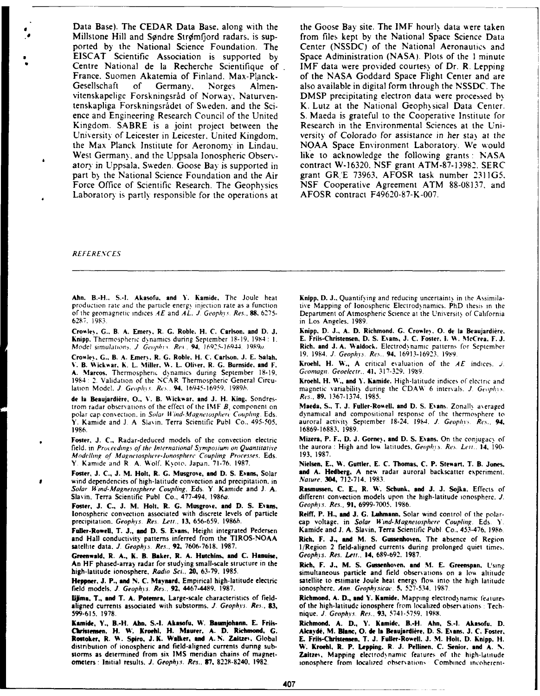Data Base). The CEDAR Data Base, along with the the Goose Bay site. The IMF hourly data were taken Millstone Hill and Søndre Strømfjord radars, is sup-<br>
From files kept by the National Science Foundation. The Center (NSSDC) of the National Aeronautics and<br>
ported by the National Science Foundation. The Center (NSSDC) of ported by the National Science Foundation. The **EISCAT** Scientific Association is supported **by** Space Administration **(NASA).** Plots of the 1 minute Centre National de la Recherche Scientifique of France. Suomen Akatemia of Finland. Max-Planck- of the NASA Goddard Space Flight Center and are Gesellschaft of Germany. Norges Almen- also available in digital form through the **NSSDC.** The vitenskapelige Forskningsråd of Norway, Naturven- DMSP precipitating electron data were processed by tenskapliga Forskningsrådet of Sweden, and the Sci- K. Lutz at the National Geophysical Data Center. tenskapliga Forskningsrådet of Sweden. and the Science and Engineering Research Council of the United **S.** Maeda is grateful to the Cooperative Institute for Kingdom. SABRE is a joint project between the Research in the Environmental Sciences at the Uni-<br>University of Leicester in Leicester, United Kingdom, versity of Colorado for assistance in her stay at the University of Leicester in Leicester. United Kingdom. versity of *Colorado* for assistance in her *sta\* at the the Max Planck Institute for Aeronomy in Lindau. West Germany, and the Uppsala Ionospheric Observ-<br>
atory in Uppsala, Sweden. Goose Bay is supported in contract W-16320, NSF grant ATM-87-13982, SERC atory in Uppsala. Sweden. Goose Bay is supported in part by the National Science Foundation and the Air Force Office of Scientific Research. The Geophysics **Laboratory is partly responsible for the operations at AFOSR contract F49620-87-K-007.** 

grant GR/E 73963, AFOSR task number 2311G5.<br>NSF Cooperative Agreement ATM 88-08137, and

### **REFERENCES**

Ahn. B.-H., S.-I. Akasofu, and Y. Kamide, The Joule heat **Knipp, D. J..** Quantifying and reducing uncertainty in the Assimilaproduction rate and the particle energy injection rate as a function tive Mapping of Ionospheric Electrodynamics. PhD thesis in the of the geomagnetic indices *AE* and *AL*, *J. Geophys. Res.*, 88, 6275- Department of Atmo of the geomagnetic indices AE and AL. J. Geophys. Res., 88, 6275-<br> **Department of Atmospheric Science at the University of California**<br>
in Los Angeles, 1989.<br>
<sup>1983</sup>

Crowley, G., B. A. Emery, R. G. Roble. H. C. Carlson. and D. J. **Knipp. D. J., A. D. Richmond. G. Crowley. O. de la Beaujardière.**<br>Knipp, Thermospheric dynamics during September 18-19, 1984 : J. **E. Friis-Christensen, D. S** Knipp, Thermospheric dynamics during September 18-19. 1984: 1.<br>**Model simulations**, *J. Geophys. Res.*, 94, 16925-16944. 1989a.

**CroAle%. G..** B. **A.** Emers. R. **G.** Roble. H. **C.** Carlson. **J. E.** Salaki. **19.** 1984. **J.** Geopli'vs. Re.%.. **94. 16913-16921. l% 9. V. B. Wickwar, K. L. Miller, W. L. Oliver, R. G. Burnside, and F. Kroehl, H. W., A critical evaluation of the** *A. Marcos.* **Thermospheric dynamics during September 18-19.** *Geomagn. Geoelectr.***, <b>41,** 317-329. 1989 **A. Marcos.** Thermospheric dynamics during September 18-19, 1984: 2. Validation of the **NCAR** Therrnospheric General Circu- Kroehl. H. W., and **1'.** Kamide. High-latitude indices of electric and

de la Beaujardière, O., V. B. Wickwar, and J. H. King. Sondres- Res., 89, 1367-1374, 1985.<br>Irom radar observations of the effect of the IMF B. component on **Maeda, S., T. J. Fuller-Rowell, and D. S. Evans. Zonally averaged** trom radar observations of the effect of the IMF B, component on polar cap convection. in Solar *Wind-Magnetosphere Coupling*, Eds. **dynamical and compositional response of the thermosphere to Y. Kamide and J. A. Slavin, Terra Scientific Publ. Co., 495-505. auroral activity September 18 Y.** Kamide and J. A. Slavin. Terra Scientific Publ. Co., 495-505. 1986.

field, in Proceedings of the International Symposium on Quantitative the aurora<br>Modelling of Magnetosphere-Jonosphere Coupling Processes, Eds.. 193, 1987. *Modelling* **of** Magnetospliere-Ionosphere, Coupling *Processes.* Eds. **193. 1987.**

**Foster, J. C., J. M. Holt, R. G. Musgrove, and D. S. Evans, Solar and A. Hedberg, A new radiation in the automation of high-latitude convection and precipitation in Nature, 304, 712-714, 1983.** wind dependencies of high-latitude convection and precipitation, in

Foster, J. C., J. M. Holt, R. G. Musgrove, and D. S. Evans, Ionospheric convection associated with discrete levels of particle **Reiff, P. H.. and J. G.** Luhmann, Solar wind control of the polar-

Fuller-Rowell, T. J., and D. S. Evans, Height integrated Pedersen and Hall conductivity patterns inferred from the TIROS-NOAA.

**Greenwald. R. A., K. B. Baker, R. A. Hutchins, and C. Hanuise,** An HF phased-array radar for studying small-scale structure in the An HF phased-array radar for studying small-scale structure in the Rich, F. **J., M. S. Gussenho'en, and MI. E. Greenspan,** Using

field models. **J.** Geoph is. Res., **92,** 4467-4489. **1987.** ionosphere. Ann. Geophi-sicau. **5. 527-534. 1987.**

Lijma, T., and T. A. Potemra, Large-scale characteristics of field- Richmond. A. D., and Y. Kamide. Mapping electrodynamic features aligned currents associated with substorms. *J. Geophys. Res.*, 83, of the high-latitude ionosphere from localized observations: Tech-**599-615. 1978.** nique. **J.** Geophis. Res,. **93, 5741-5759. 1998.**

**Karnidle, Y., 3.-H. Abun. S.-I. Akasofu, W. flaumijohann. E. Friis- Richmond. A. D., Y. Kamide, B.-H. Akin, S.-I. Akasofu. D.** Christensen. H. W. Kroehl, H. Maurer, A. D. Richmond, G. Alcaydé, M. Blanc, O. de la Beaujardière, D. S. Evans, J. C. Foster,<br>Rostoker, R. W. Spiro, J.K. Walker, and A.N. Zaitzev, Global E. Friis-Christensen, T. J. Rostoker, R. W. Spiro, J. K. Walker, and A. N. Zaitzev, Global distribution of ionospheric and field-aligned currents duning sub- **W. Kroebl. R. P. Lapping. R. J. Pellinen. C. Senior, and A. %.** storms as determined from six IMS meridian chains of magnet-<br> **Cality of the Cality Cality Constant** Cality of Magnetic Constant of the interest of the high-latitude<br>
ionosphere from localized observations Combined interva

**6287. 1983.** in Los Angeles. **1989.**

Rich. and J. A. Waldock. Electrodynamic patterns for September 19. 1984. *J. Geophys. Res.* 94. 16913-16923. 1989.

magnetic variability during the CDAW 6 intervals. **J.** Geophys.

**1986. 16869-16883. 1989.**

**Foster. J. C., Radar-deduced models of the convection electric Mizera, P. F., D. J. Gorney, and D. S. Evans. On the conjugacy of field. in Proceedings of the International Symposium on Quantitative the aurora: High and lo** 

Y. Kamide and R. A. Wolf. Kyoto. Japan. 71-76. 1987. **Nielsen, E., W. Guttler, E. C. Thomas, C. P. Stewart, T. B. Jones.**<br>Foster, J. C., J. M. Holt. R. G. Musgrove, and D. S. Evans. Solar and A. Hedberg, A new radar aurora

Solar Wind-Magnetosphere Coupling. Eds. Y. Kamide and J. A. **Rasmussen, C. E., R. W. Schunk, and J. J. Sojka.** Effects of Slavin, Terra Scientific Publ. Co., 477-494, 1986a. **And J. A.** *A. Basmussen, C. E., R. W. Schunk, a* different convection models upon the high-latitude ionosphere. *J.* Geophys. Res., 91, 6999-7005. 1986.

precipitation. Geophys. Res. Lett., 13, 656-659. 1986b. **cap voltage, in Solar Wind-Magnetosphere Coupling. Eds. Y.**<br>**Fuller-Rowell, T. J., and D. S. Evans, Height integrated Pedersen Kamide and J. A. Slavin, Terra Scienti** 

Rich, F. J., and M. S. Gussenhoven, The absence of Region satellite data, J. Geophys. Res., 92, 7606-7618, 1987. **III. II. II. II. Region 2 field-aligned currents during prolonged quiet times.**<br>Greenwald, R. A., K. B. Baker, R. A. Hutchins, and C. Hanuise. Geophys. Res. Lett., 14

simultaneous particle and field observations on a low altitude Heppner, J. P., and N. C. Maynard, Empirical high-latitude electric satellite to estimate Joule heat energy flow into the high latitude field models. J. Geophys. Res., 92, 4467-4489, 1987.

ionosphere from localized observations. Combined incoherent-